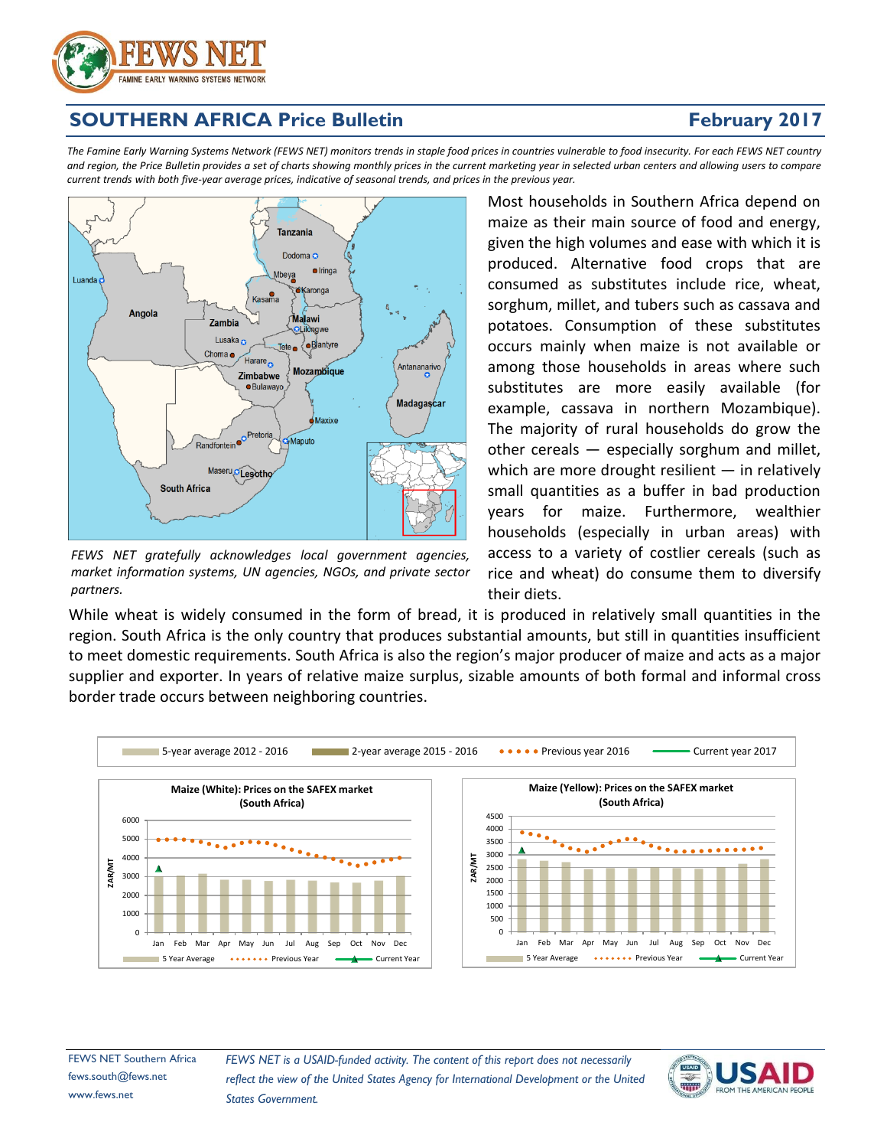

# **SOUTHERN AFRICA Price Bulletin**

# **February 2017**

The Famine Early Warning Systems Network (FEWS NET) monitors trends in staple food prices in countries vulnerable to food insecurity. For each FEWS NET country and region, the Price Bulletin provides a set of charts showing monthly prices in the current marketing year in selected urban centers and allowing users to compare current trends with both five-year average prices, indicative of seasonal trends, and prices in the previous year.



*FEWS NET gratefully acknowledges local government agencies, market information systems, UN agencies, NGOs, and private sector partners.*

Most households in Southern Africa depend on maize as their main source of food and energy, given the high volumes and ease with which it is produced. Alternative food crops that are consumed as substitutes include rice, wheat, sorghum, millet, and tubers such as cassava and potatoes. Consumption of these substitutes occurs mainly when maize is not available or among those households in areas where such substitutes are more easily available (for example, cassava in northern Mozambique). The majority of rural households do grow the other cereals — especially sorghum and millet, which are more drought resilient  $-$  in relatively small quantities as a buffer in bad production years for maize. Furthermore, wealthier households (especially in urban areas) with access to a variety of costlier cereals (such as rice and wheat) do consume them to diversify their diets.

While wheat is widely consumed in the form of bread, it is produced in relatively small quantities in the region. South Africa is the only country that produces substantial amounts, but still in quantities insufficient to meet domestic requirements. South Africa is also the region's major producer of maize and acts as a major supplier and exporter. In years of relative maize surplus, sizable amounts of both formal and informal cross border trade occurs between neighboring countries.



FEWS NET Southern Africa fews.south@fews.net www.fews.net

*FEWS NET is a USAID-funded activity. The content of this report does not necessarily reflect the view of the United States Agency for International Development or the United States Government.*

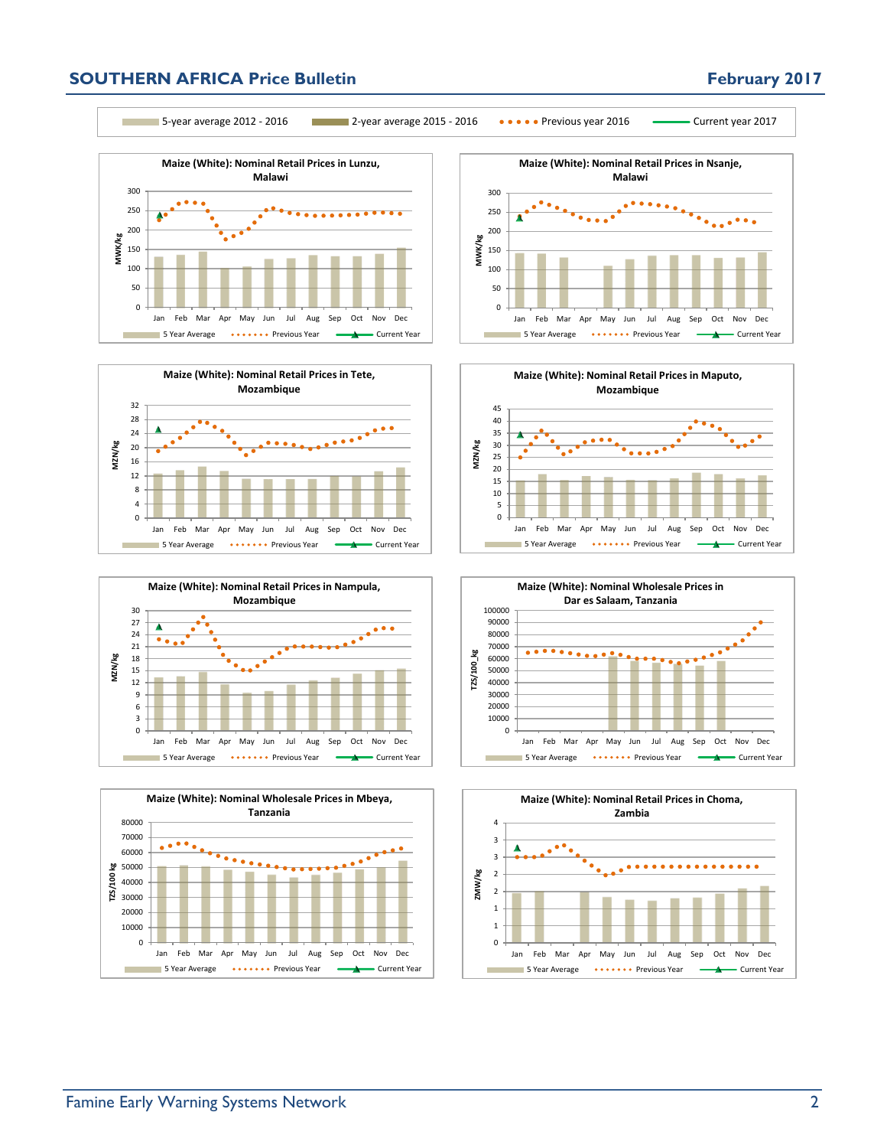## **SOUTHERN AFRICA Price Bulletin February 2017**



5-year average 2012 - 2016 2-year average 2015 - 2016 Previous year 2016 Current year 2017















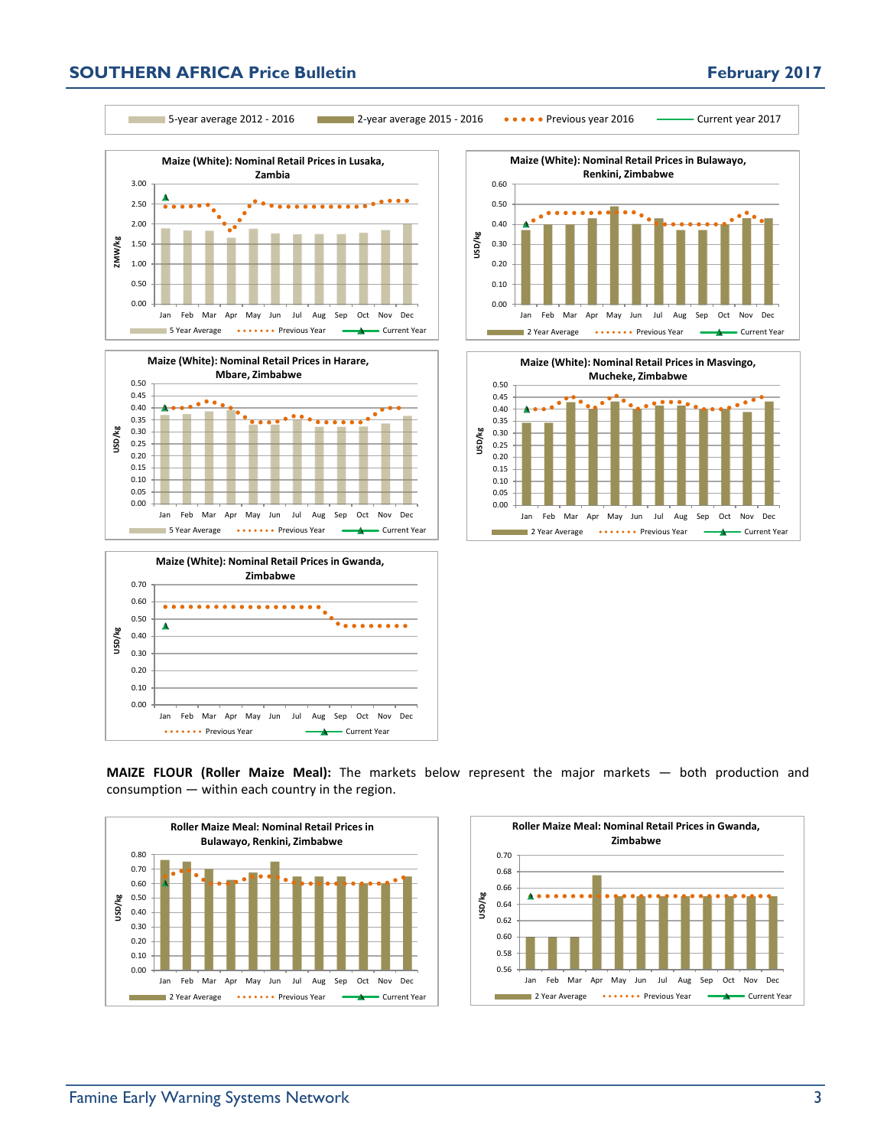## **SOUTHERN AFRICA Price Bulletin February 2017**



5-year average 2012 - 2016 2-year average 2015 - 2016 Previous year 2016 Current year 2017











**MAIZE FLOUR (Roller Maize Meal):** The markets below represent the major markets — both production and consumption — within each country in the region.



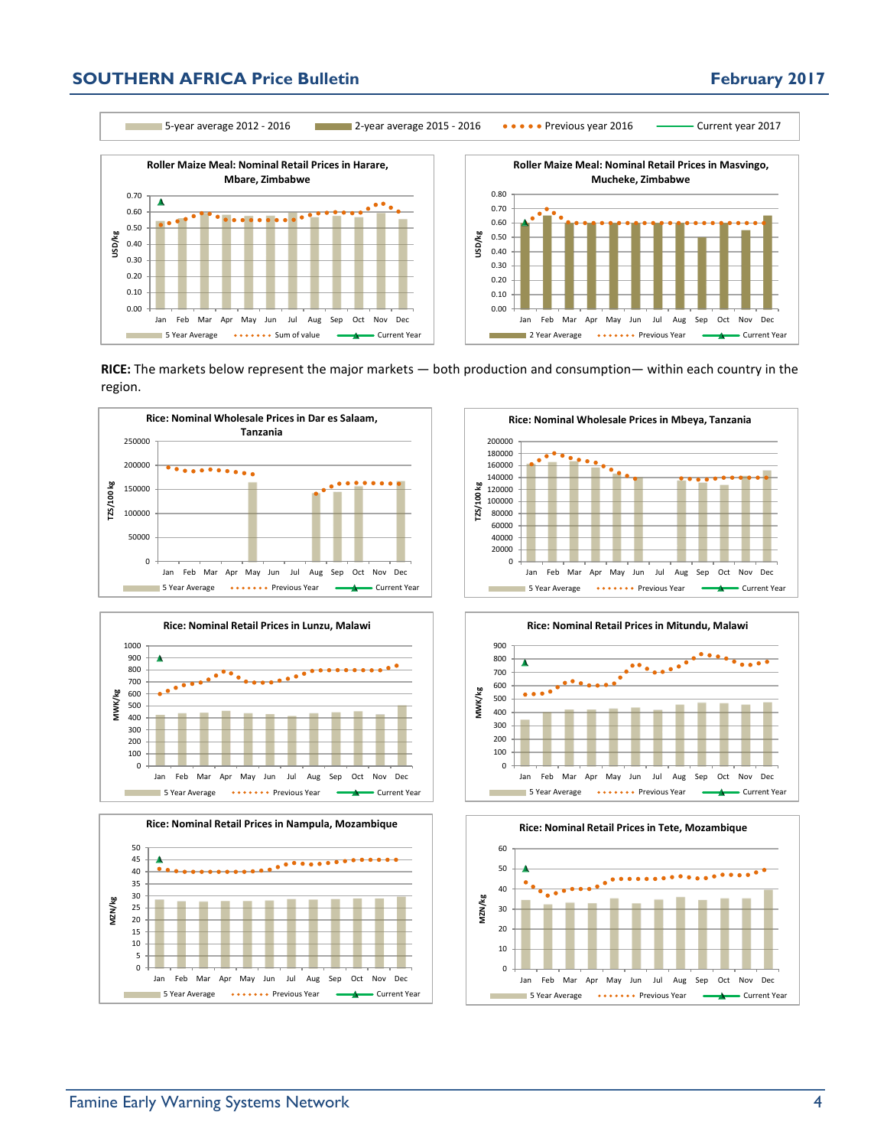### **SOUTHERN AFRICA Price Bulletin February 2017**

0.00

**USD/kg**

5-year average 2012 - 2016 2-year average 2015 - 2016 Previous year 2016 Current year 2017



Jan Feb Mar Apr May Jun Jul Aug Sep Oct Nov Dec

**5 Year Average Sum of value** Current Year



**RICE:** The markets below represent the major markets — both production and consumption— within each country in the region.